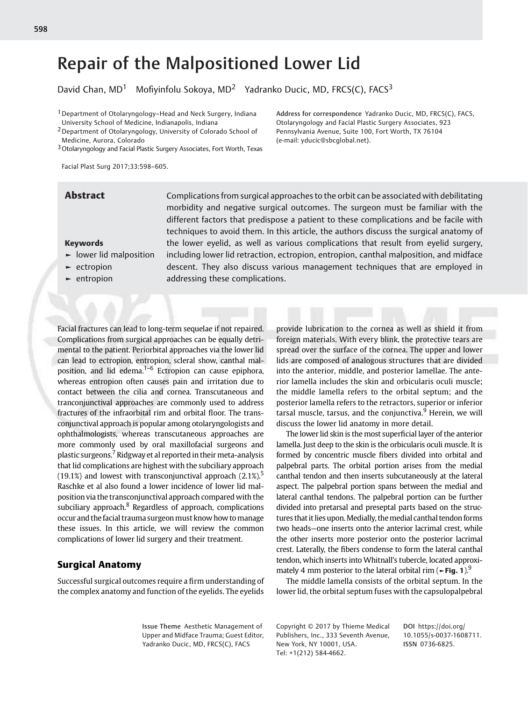David Chan,  $MD<sup>1</sup>$  Mofiyinfolu Sokoya,  $MD<sup>2</sup>$  Yadranko Ducic, MD, FRCS(C), FACS<sup>3</sup>

- 1Department of Otolaryngology–Head and Neck Surgery, Indiana University School of Medicine, Indianapolis, Indiana
- 2Department of Otolaryngology, University of Colorado School of Medicine, Aurora, Colorado
- 3Otolaryngology and Facial Plastic Surgery Associates, Fort Worth, Texas

Facial Plast Surg 2017;33:598–605.

Abstract Complications from surgical approaches to the orbit can be associated with debilitating morbidity and negative surgical outcomes. The surgeon must be familiar with the different factors that predispose a patient to these complications and be facile with techniques to avoid them. In this article, the authors discuss the surgical anatomy of the lower eyelid, as well as various complications that result from eyelid surgery, including lower lid retraction, ectropion, entropion, canthal malposition, and midface descent. They also discuss various management techniques that are employed in addressing these complications.

## Keywords

- ► lower lid malposition
- ► ectropion
- ► entropion

Facial fractures can lead to long-term sequelae if not repaired. Complications from surgical approaches can be equally detrimental to the patient. Periorbital approaches via the lower lid can lead to ectropion, entropion, scleral show, canthal malposition, and lid edema. $1-6$  Ectropion can cause epiphora, whereas entropion often causes pain and irritation due to contact between the cilia and cornea. Transcutaneous and tranconjunctival approaches are commonly used to address fractures of the infraorbital rim and orbital floor. The transconjunctival approach is popular among otolaryngologists and ophthalmologists, whereas transcutaneous approaches are more commonly used by oral maxillofacial surgeons and plastic surgeons.<sup>7</sup> Ridgway et al reported in their meta-analysis that lid complications are highest with the subciliary approach (19.1%) and lowest with transconjunctival approach  $(2.1\%)$ <sup>5</sup> Raschke et al also found a lower incidence of lower lid malposition via the transconjunctival approach compared with the subciliary approach.<sup>8</sup> Regardless of approach, complications occur and the facial trauma surgeonmust know how tomanage these issues. In this article, we will review the common complications of lower lid surgery and their treatment.

# Surgical Anatomy

Successful surgical outcomes require a firm understanding of the complex anatomy and function of the eyelids. The eyelids provide lubrication to the cornea as well as shield it from foreign materials. With every blink, the protective tears are spread over the surface of the cornea. The upper and lower lids are composed of analogous structures that are divided into the anterior, middle, and posterior lamellae. The anterior lamella includes the skin and orbicularis oculi muscle; the middle lamella refers to the orbital septum; and the posterior lamella refers to the retractors, superior or inferior tarsal muscle, tarsus, and the conjunctiva.<sup>9</sup> Herein, we will discuss the lower lid anatomy in more detail.

The lower lid skin is the most superficial layer of the anterior lamella. Just deep to the skin is the orbicularis oculi muscle. It is formed by concentric muscle fibers divided into orbital and palpebral parts. The orbital portion arises from the medial canthal tendon and then inserts subcutaneously at the lateral aspect. The palpebral portion spans between the medial and lateral canthal tendons. The palpebral portion can be further divided into pretarsal and preseptal parts based on the structures that it lies upon. Medially, the medial canthal tendon forms two heads—one inserts onto the anterior lacrimal crest, while the other inserts more posterior onto the posterior lacrimal crest. Laterally, the fibers condense to form the lateral canthal tendon, which inserts into Whitnall's tubercle, located approximately 4 mm posterior to the lateral orbital rim ( $\blacktriangleright$ Fig. 1).<sup>9</sup>

The middle lamella consists of the orbital septum. In the lower lid, the orbital septum fuses with the capsulopalpebral

Issue Theme Aesthetic Management of Upper and Midface Trauma; Guest Editor, Yadranko Ducic, MD, FRCS(C), FACS

Copyright © 2017 by Thieme Medical Publishers, Inc., 333 Seventh Avenue, New York, NY 10001, USA. Tel: +1(212) 584-4662.

DOI [https://doi.org/](https://doi.org/10.1055/s-0037-1608711) [10.1055/s-0037-1608711](https://doi.org/10.1055/s-0037-1608711). ISSN 0736-6825.

Address for correspondence Yadranko Ducic, MD, FRCS(C), FACS, Otolaryngology and Facial Plastic Surgery Associates, 923 Pennsylvania Avenue, Suite 100, Fort Worth, TX 76104 (e-mail: [yducic@sbcglobal.net\)](mailto:yducic@sbcglobal.net).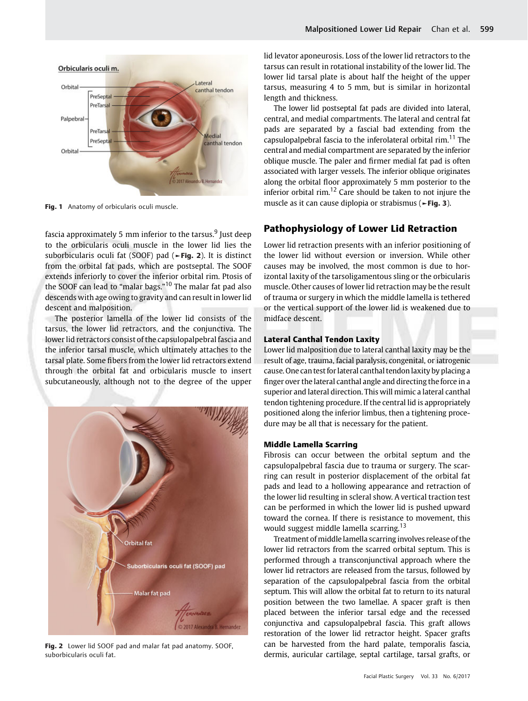

Fig. 1 Anatomy of orbicularis oculi muscle.

fascia approximately 5 mm inferior to the tarsus. $9$  Just deep to the orbicularis oculi muscle in the lower lid lies the suborbicularis oculi fat (SOOF) pad (►Fig. 2). It is distinct from the orbital fat pads, which are postseptal. The SOOF extends inferiorly to cover the inferior orbital rim. Ptosis of the SOOF can lead to "malar bags."<sup>10</sup> The malar fat pad also descends with age owing to gravity and can result in lower lid descent and malposition.

The posterior lamella of the lower lid consists of the tarsus, the lower lid retractors, and the conjunctiva. The lower lid retractors consist of the capsulopalpebral fascia and the inferior tarsal muscle, which ultimately attaches to the tarsal plate. Some fibers from the lower lid retractors extend through the orbital fat and orbicularis muscle to insert subcutaneously, although not to the degree of the upper



Fig. 2 Lower lid SOOF pad and malar fat pad anatomy. SOOF, suborbicularis oculi fat.

lid levator aponeurosis. Loss of the lower lid retractors to the tarsus can result in rotational instability of the lower lid. The lower lid tarsal plate is about half the height of the upper tarsus, measuring 4 to 5 mm, but is similar in horizontal length and thickness.

The lower lid postseptal fat pads are divided into lateral, central, and medial compartments. The lateral and central fat pads are separated by a fascial bad extending from the capsulopalpebral fascia to the inferolateral orbital rim.<sup>11</sup> The central and medial compartment are separated by the inferior oblique muscle. The paler and firmer medial fat pad is often associated with larger vessels. The inferior oblique originates along the orbital floor approximately 5 mm posterior to the inferior orbital rim.<sup>12</sup> Care should be taken to not injure the muscle as it can cause diplopia or strabismus (►Fig. 3).

# Pathophysiology of Lower Lid Retraction

Lower lid retraction presents with an inferior positioning of the lower lid without eversion or inversion. While other causes may be involved, the most common is due to horizontal laxity of the tarsoligamentous sling or the orbicularis muscle. Other causes of lower lid retraction may be the result of trauma or surgery in which the middle lamella is tethered or the vertical support of the lower lid is weakened due to midface descent.

## Lateral Canthal Tendon Laxity

Lower lid malposition due to lateral canthal laxity may be the result of age, trauma, facial paralysis, congenital, or iatrogenic cause. One can test forlateral canthal tendon laxity by placing a finger over thelateral canthal angle and directing the force in a superior and lateral direction. This will mimic a lateral canthal tendon tightening procedure. If the central lid is appropriately positioned along the inferior limbus, then a tightening procedure may be all that is necessary for the patient.

## Middle Lamella Scarring

Fibrosis can occur between the orbital septum and the capsulopalpebral fascia due to trauma or surgery. The scarring can result in posterior displacement of the orbital fat pads and lead to a hollowing appearance and retraction of the lower lid resulting in scleral show. A vertical traction test can be performed in which the lower lid is pushed upward toward the cornea. If there is resistance to movement, this would suggest middle lamella scarring.<sup>13</sup>

Treatment of middle lamella scarring involves release of the lower lid retractors from the scarred orbital septum. This is performed through a transconjunctival approach where the lower lid retractors are released from the tarsus, followed by separation of the capsulopalpebral fascia from the orbital septum. This will allow the orbital fat to return to its natural position between the two lamellae. A spacer graft is then placed between the inferior tarsal edge and the recessed conjunctiva and capsulopalpebral fascia. This graft allows restoration of the lower lid retractor height. Spacer grafts can be harvested from the hard palate, temporalis fascia, dermis, auricular cartilage, septal cartilage, tarsal grafts, or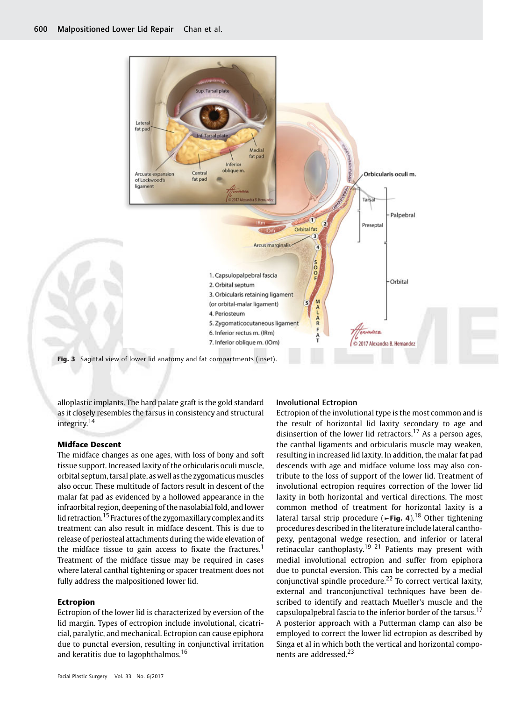

alloplastic implants. The hard palate graft is the gold standard as it closely resembles the tarsus in consistency and structural integrity.<sup>14</sup>

## Midface Descent

The midface changes as one ages, with loss of bony and soft tissue support. Increased laxity of the orbicularis oculi muscle, orbital septum, tarsal plate, as well as the zygomaticus muscles also occur. These multitude of factors result in descent of the malar fat pad as evidenced by a hollowed appearance in the infraorbital region, deepening of the nasolabial fold, and lower lid retraction.<sup>15</sup> Fractures of the zygomaxillary complex and its treatment can also result in midface descent. This is due to release of periosteal attachments during the wide elevation of the midface tissue to gain access to fixate the fractures.<sup>1</sup> Treatment of the midface tissue may be required in cases where lateral canthal tightening or spacer treatment does not fully address the malpositioned lower lid.

#### Ectropion

Ectropion of the lower lid is characterized by eversion of the lid margin. Types of ectropion include involutional, cicatricial, paralytic, and mechanical. Ectropion can cause epiphora due to punctal eversion, resulting in conjunctival irritation and keratitis due to lagophthalmos.<sup>16</sup>

#### Involutional Ectropion

Ectropion of the involutional type is the most common and is the result of horizontal lid laxity secondary to age and disinsertion of the lower lid retractors.<sup>17</sup> As a person ages, the canthal ligaments and orbicularis muscle may weaken, resulting in increased lid laxity. In addition, the malar fat pad descends with age and midface volume loss may also contribute to the loss of support of the lower lid. Treatment of involutional ectropion requires correction of the lower lid laxity in both horizontal and vertical directions. The most common method of treatment for horizontal laxity is a lateral tarsal strip procedure ( $\blacktriangleright$ Fig. 4).<sup>18</sup> Other tightening procedures described in the literature include lateral canthopexy, pentagonal wedge resection, and inferior or lateral retinacular canthoplasty.<sup>19–21</sup> Patients may present with medial involutional ectropion and suffer from epiphora due to punctal eversion. This can be corrected by a medial conjunctival spindle procedure.<sup>22</sup> To correct vertical laxity, external and tranconjunctival techniques have been described to identify and reattach Mueller's muscle and the capsulopalpebral fascia to the inferior border of the tarsus.<sup>17</sup> A posterior approach with a Putterman clamp can also be employed to correct the lower lid ectropion as described by Singa et al in which both the vertical and horizontal components are addressed.<sup>23</sup>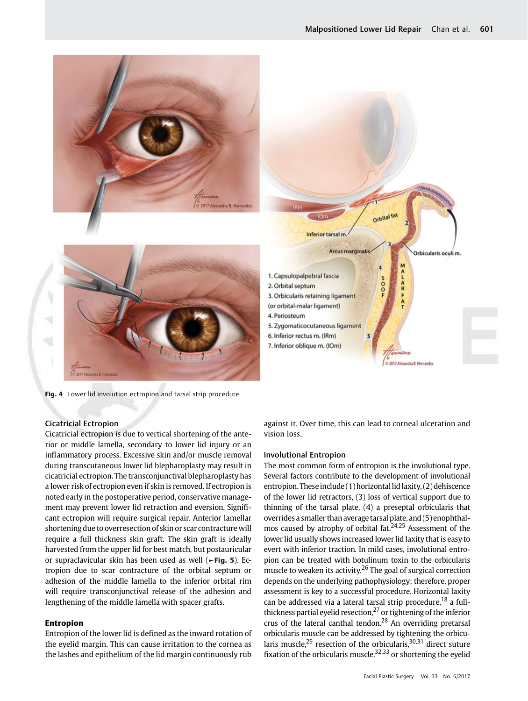

Fig. 4 Lower lid involution ectropion and tarsal strip procedure

## Cicatricial Ectropion

Cicatricial ectropion is due to vertical shortening of the anterior or middle lamella, secondary to lower lid injury or an inflammatory process. Excessive skin and/or muscle removal during transcutaneous lower lid blepharoplasty may result in cicatricial ectropion. The transconjunctival blepharoplasty has a lower risk of ectropion even if skin is removed. If ectropion is noted early in the postoperative period, conservative management may prevent lower lid retraction and eversion. Significant ectropion will require surgical repair. Anterior lamellar shortening due to overresection of skin or scar contracture will require a full thickness skin graft. The skin graft is ideally harvested from the upper lid for best match, but postauricular or supraclavicular skin has been used as well (►Fig. 5). Ectropion due to scar contracture of the orbital septum or adhesion of the middle lamella to the inferior orbital rim will require transconjunctival release of the adhesion and lengthening of the middle lamella with spacer grafts.

## Entropion

Entropion of the lower lid is defined as the inward rotation of the eyelid margin. This can cause irritation to the cornea as the lashes and epithelium of the lid margin continuously rub

against it. Over time, this can lead to corneal ulceration and vision loss.

#### Involutional Entropion

The most common form of entropion is the involutional type. Several factors contribute to the development of involutional entropion. These include (1) horizontal lid laxity, (2) dehiscence of the lower lid retractors, (3) loss of vertical support due to thinning of the tarsal plate, (4) a preseptal orbicularis that overrides a smaller than average tarsal plate, and (5) enophthalmos caused by atrophy of orbital fat. $24,25$  Assessment of the lower lid usually shows increased lower lid laxity that is easy to evert with inferior traction. In mild cases, involutional entropion can be treated with botulinum toxin to the orbicularis muscle to weaken its activity.<sup>26</sup> The goal of surgical correction depends on the underlying pathophysiology; therefore, proper assessment is key to a successful procedure. Horizontal laxity can be addressed via a lateral tarsal strip procedure,  $^{18}$  a fullthickness partial eyelid resection, $^{27}$  or tightening of the inferior crus of the lateral canthal tendon.<sup>28</sup> An overriding pretarsal orbicularis muscle can be addressed by tightening the orbicularis muscle,<sup>29</sup> resection of the orbicularis, $30,31$  direct suture fixation of the orbicularis muscle,  $32,33$  or shortening the eyelid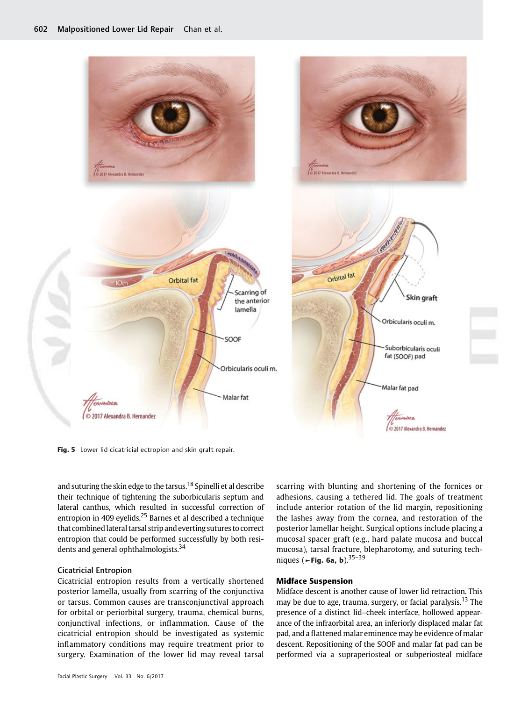

Fig. 5 Lower lid cicatricial ectropion and skin graft repair.

and suturing the skin edge to the tarsus.<sup>18</sup> Spinelli et al describe their technique of tightening the suborbicularis septum and lateral canthus, which resulted in successful correction of entropion in 409 eyelids.<sup>25</sup> Barnes et al described a technique that combinedlateral tarsal strip and everting sutures to correct entropion that could be performed successfully by both residents and general ophthalmologists.<sup>34</sup>

## Cicatricial Entropion

Cicatricial entropion results from a vertically shortened posterior lamella, usually from scarring of the conjunctiva or tarsus. Common causes are transconjunctival approach for orbital or periorbital surgery, trauma, chemical burns, conjunctival infections, or inflammation. Cause of the cicatricial entropion should be investigated as systemic inflammatory conditions may require treatment prior to surgery. Examination of the lower lid may reveal tarsal scarring with blunting and shortening of the fornices or adhesions, causing a tethered lid. The goals of treatment include anterior rotation of the lid margin, repositioning the lashes away from the cornea, and restoration of the posterior lamellar height. Surgical options include placing a mucosal spacer graft (e.g., hard palate mucosa and buccal mucosa), tarsal fracture, blepharotomy, and suturing techniques (►Fig. 6a, b).  $35-39$ 

#### Midface Suspension

Midface descent is another cause of lower lid retraction. This may be due to age, trauma, surgery, or facial paralysis.<sup>13</sup> The presence of a distinct lid–cheek interface, hollowed appearance of the infraorbital area, an inferiorly displaced malar fat pad, and a flattened malar eminence may be evidence of malar descent. Repositioning of the SOOF and malar fat pad can be performed via a supraperiosteal or subperiosteal midface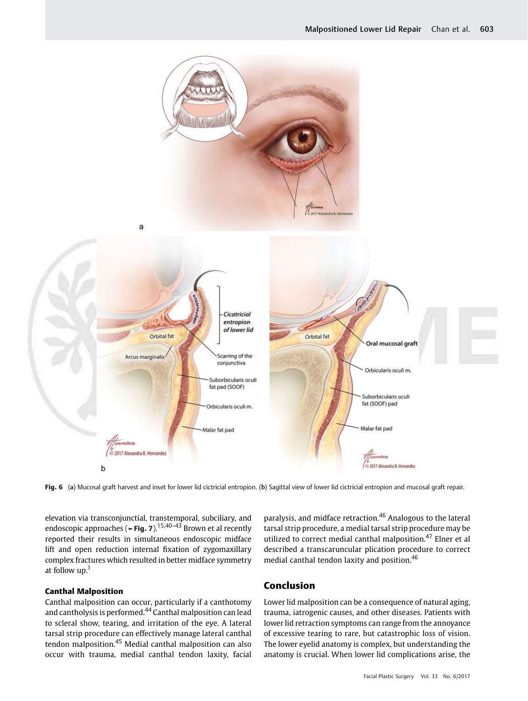

Fig. 6 (a) Mucosal graft harvest and inset for lower lid cictricial entropion. (b) Sagittal view of lower lid cictricial entropion and mucosal graft repair.

elevation via transconjunctial, transtemporal, subciliary, and endoscopic approaches (**←Fig. 7**).<sup>15,40–43</sup> Brown et al recently reported their results in simultaneous endoscopic midface lift and open reduction internal fixation of zygomaxillary complex fractures which resulted in better midface symmetry at follow  $up.$ <sup>1</sup>

### Canthal Malposition

Canthal malposition can occur, particularly if a canthotomy and cantholysis is performed.<sup>44</sup> Canthal malposition can lead to scleral show, tearing, and irritation of the eye. A lateral tarsal strip procedure can effectively manage lateral canthal tendon malposition.<sup>45</sup> Medial canthal malposition can also occur with trauma, medial canthal tendon laxity, facial paralysis, and midface retraction.<sup>46</sup> Analogous to the lateral tarsal strip procedure, a medial tarsal strip procedure may be utilized to correct medial canthal malposition.<sup>47</sup> Elner et al described a transcaruncular plication procedure to correct medial canthal tendon laxity and position.<sup>46</sup>

# Conclusion

Lower lid malposition can be a consequence of natural aging, trauma, iatrogenic causes, and other diseases. Patients with lower lid retraction symptoms can range from the annoyance of excessive tearing to rare, but catastrophic loss of vision. The lower eyelid anatomy is complex, but understanding the anatomy is crucial. When lower lid complications arise, the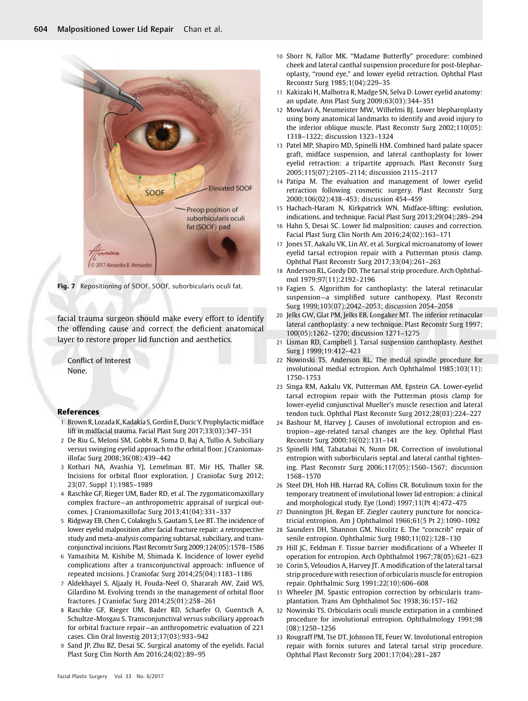

Fig. 7 Repositioning of SOOF. SOOF, suborbicularis oculi fat.

facial trauma surgeon should make every effort to identify the offending cause and correct the deficient anatomical layer to restore proper lid function and aesthetics.

Conflict of Interest None.

#### References

- 1 Brown R, Lozada K, Kadakia S, Gordin E, Ducic Y. Prophylactic midface lift in midfacial trauma. Facial Plast Surg 2017;33(03):347–351
- 2 De Riu G, Meloni SM, Gobbi R, Soma D, Baj A, Tullio A. Subciliary versus swinging eyelid approach to the orbital floor. J Craniomaxillofac Surg 2008;36(08):439–442
- 3 Kothari NA, Avashia YJ, Lemelman BT, Mir HS, Thaller SR. Incisions for orbital floor exploration. J Craniofac Surg 2012; 23(07, Suppl 1):1985–1989
- 4 Raschke GF, Rieger UM, Bader RD, et al. The zygomaticomaxillary complex fracture—an anthropometric appraisal of surgical outcomes. J Craniomaxillofac Surg 2013;41(04):331–337
- 5 Ridgway EB, Chen C, Colakoglu S, Gautam S, Lee BT. The incidence of lower eyelid malposition after facial fracture repair: a retrospective study and meta-analysis comparing subtarsal, subciliary, and transconjunctival incisions. Plast Reconstr Surg 2009;124(05):1578–1586
- 6 Yamashita M, Kishibe M, Shimada K. Incidence of lower eyelid complications after a transconjunctival approach: influence of repeated incisions. J Craniofac Surg 2014;25(04):1183–1186
- 7 Aldekhayel S, Aljaaly H, Fouda-Neel O, Shararah AW, Zaid WS, Gilardino M. Evolving trends in the management of orbital floor fractures. J Craniofac Surg 2014;25(01):258–261
- 8 Raschke GF, Rieger UM, Bader RD, Schaefer O, Guentsch A, Schultze-Mosgau S. Transconjunctival versus subciliary approach for orbital fracture repair—an anthropometric evaluation of 221 cases. Clin Oral Investig 2013;17(03):933–942
- 9 Sand JP, Zhu BZ, Desai SC. Surgical anatomy of the eyelids. Facial Plast Surg Clin North Am 2016;24(02):89–95
- 10 Shorr N, Fallor MK. "Madame Butterfly" procedure: combined cheek and lateral canthal suspension procedure for post-blepharoplasty, "round eye," and lower eyelid retraction. Ophthal Plast Reconstr Surg 1985;1(04):229–35
- 11 Kakizaki H, Malhotra R, Madge SN, Selva D. Lower eyelid anatomy: an update. Ann Plast Surg 2009;63(03):344–351
- 12 Mowlavi A, Neumeister MW, Wilhelmi BJ. Lower blepharoplasty using bony anatomical landmarks to identify and avoid injury to the inferior oblique muscle. Plast Reconstr Surg 2002;110(05): 1318–1322; discussion 1323–1324
- 13 Patel MP, Shapiro MD, Spinelli HM. Combined hard palate spacer graft, midface suspension, and lateral canthoplasty for lower eyelid retraction: a tripartite approach. Plast Reconstr Surg 2005;115(07):2105–2114; discussion 2115–2117
- 14 Patipa M. The evaluation and management of lower eyelid retraction following cosmetic surgery. Plast Reconstr Surg 2000;106(02):438–453; discussion 454–459
- 15 Hachach-Haram N, Kirkpatrick WN. Midface-lifting: evolution, indications, and technique. Facial Plast Surg 2013;29(04):289–294
- 16 Hahn S, Desai SC. Lower lid malposition: causes and correction. Facial Plast Surg Clin North Am 2016;24(02):163–171
- 17 Jones ST, Aakalu VK, Lin AY, et al. Surgical microanatomy of lower eyelid tarsal ectropion repair with a Putterman ptosis clamp. Ophthal Plast Reconstr Surg 2017;33(04):261–263
- Anderson RL, Gordy DD. The tarsal strip procedure. Arch Ophthalmol 1979;97(11):2192–2196
- 19 Fagien S. Algorithm for canthoplasty: the lateral retinacular suspension—a simplified suture canthopexy. Plast Reconstr Surg 1999;103(07):2042–2053; discussion 2054–2058
- 20 Jelks GW, Glat PM, Jelks EB, Longaker MT. The inferior retinacular lateral canthoplasty: a new technique. Plast Reconstr Surg 1997; 100(05):1262–1270; discussion 1271–1275
- 21 Lisman RD, Campbell J. Tarsal suspension canthoplasty. Aesthet Surg J 1999;19:412–423
- 22 Nowinski TS, Anderson RL. The medial spindle procedure for involutional medial ectropion. Arch Ophthalmol 1985;103(11): 1750–1753
- 23 Singa RM, Aakalu VK, Putterman AM, Epstein GA. Lower-eyelid tarsal ectropion repair with the Putterman ptosis clamp for lower-eyelid conjunctival Mueller's muscle resection and lateral tendon tuck. Ophthal Plast Reconstr Surg 2012;28(03):224–227
- 24 Bashour M, Harvey J. Causes of involutional ectropion and entropion—age-related tarsal changes are the key. Ophthal Plast Reconstr Surg 2000;16(02):131–141
- 25 Spinelli HM, Tabatabai N, Nunn DR. Correction of involutional entropion with suborbicularis septal and lateral canthal tightening. Plast Reconstr Surg 2006;117(05):1560–1567; discussion 1568–1570
- 26 Steel DH, Hoh HB, Harrad RA, Collins CR. Botulinum toxin for the temporary treatment of involutional lower lid entropion: a clinical and morphological study. Eye (Lond) 1997;11(Pt 4):472–475
- 27 Dunnington JH, Regan EF. Ziegler cautery puncture for noncicatricial entropion. Am J Ophthalmol 1966;61(5 Pt 2):1090–1092
- 28 Saunders DH, Shannon GM, Nicolitz E. The "corncrib" repair of senile entropion. Ophthalmic Surg 1980;11(02):128–130
- 29 Hill JC, Feldman F. Tissue barrier modifications of a Wheeler II operation for entropion. Arch Ophthalmol 1967;78(05):621–623
- 30 Corin S, Veloudios A, Harvey JT. A modification of the lateral tarsal strip procedure with resection of orbicularis muscle for entropion repair. Ophthalmic Surg 1991;22(10):606–608
- 31 Wheeler JM. Spastic entropion correction by orbicularis transplantation. Trans Am Ophthalmol Soc 1938;36:157–162
- 32 Nowinski TS. Orbicularis oculi muscle extirpation in a combined procedure for involutional entropion. Ophthalmology 1991;98 (08):1250–1256
- 33 Rougraff PM, Tse DT, Johnson TE, Feuer W. Involutional entropion repair with fornix sutures and lateral tarsal strip procedure. Ophthal Plast Reconstr Surg 2001;17(04):281–287